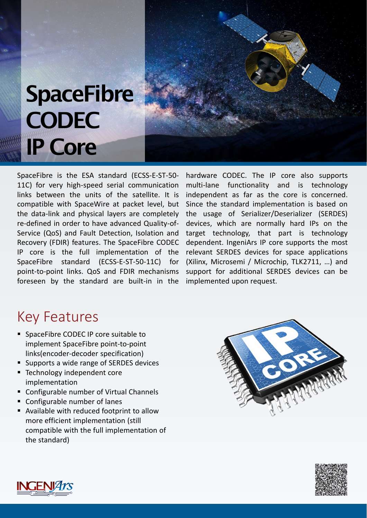## **SpaceFibre CODEC** IP Core

SpaceFibre is the ESA standard (ECSS-E-ST-50- 11C) for very high-speed serial communication links between the units of the satellite. It is compatible with SpaceWire at packet level, but the data-link and physical layers are completely re-defined in order to have advanced Quality-of-Service (QoS) and Fault Detection, Isolation and Recovery (FDIR) features. The SpaceFibre CODEC IP core is the full implementation of the SpaceFibre standard (ECSS-E-ST-50-11C) for point-to-point links. QoS and FDIR mechanisms foreseen by the standard are built-in in the

hardware CODEC. The IP core also supports multi-lane functionality and is technology independent as far as the core is concerned. Since the standard implementation is based on the usage of Serializer/Deserializer (SERDES) devices, which are normally hard IPs on the target technology, that part is technology dependent. IngeniArs IP core supports the most relevant SERDES devices for space applications (Xilinx, Microsemi / Microchip, TLK2711, …) and support for additional SERDES devices can be implemented upon request.

## Key Features

- SpaceFibre CODEC IP core suitable to implement SpaceFibre point-to-point links(encoder‐decoder specification)
- Supports a wide range of SERDES devices
- Technology independent core implementation
- Configurable number of Virtual Channels
- Configurable number of lanes
- Available with reduced footprint to allow more efficient implementation (still compatible with the full implementation of the standard)